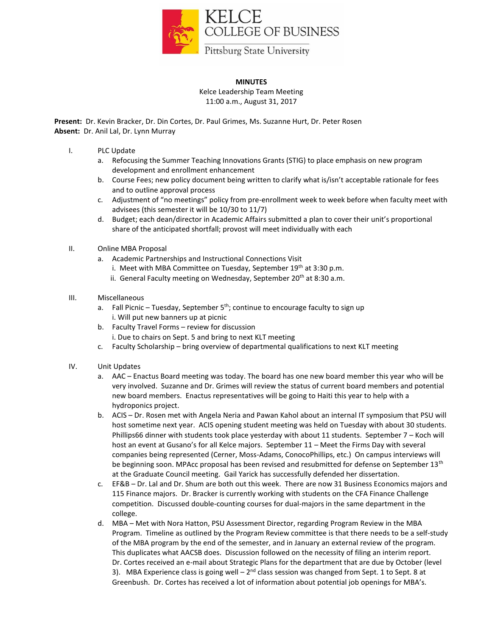

## **MINUTES** Kelce Leadership Team Meeting 11:00 a.m., August 31, 2017

**Present:** Dr. Kevin Bracker, Dr. Din Cortes, Dr. Paul Grimes, Ms. Suzanne Hurt, Dr. Peter Rosen **Absent:** Dr. Anil Lal, Dr. Lynn Murray

- I. PLC Update
	- Refocusing the Summer Teaching Innovations Grants (STIG) to place emphasis on new program development and enrollment enhancement
	- b. Course Fees; new policy document being written to clarify what is/isn't acceptable rationale for fees and to outline approval process
	- c. Adjustment of "no meetings" policy from pre-enrollment week to week before when faculty meet with advisees (this semester it will be 10/30 to 11/7)
	- d. Budget; each dean/director in Academic Affairs submitted a plan to cover their unit's proportional share of the anticipated shortfall; provost will meet individually with each
- II. Online MBA Proposal
	- a. Academic Partnerships and Instructional Connections Visit
		- i. Meet with MBA Committee on Tuesday, September  $19<sup>th</sup>$  at 3:30 p.m.
		- ii. General Faculty meeting on Wednesday, September 20<sup>th</sup> at 8:30 a.m.
- III. Miscellaneous
	- a. Fall Picnic Tuesday, September  $5<sup>th</sup>$ ; continue to encourage faculty to sign up i. Will put new banners up at picnic
	- b. Faculty Travel Forms review for discussion
		- i. Due to chairs on Sept. 5 and bring to next KLT meeting
	- c. Faculty Scholarship bring overview of departmental qualifications to next KLT meeting
- IV. Unit Updates
	- a. AAC Enactus Board meeting was today. The board has one new board member this year who will be very involved. Suzanne and Dr. Grimes will review the status of current board members and potential new board members. Enactus representatives will be going to Haiti this year to help with a hydroponics project.
	- b. ACIS Dr. Rosen met with Angela Neria and Pawan Kahol about an internal IT symposium that PSU will host sometime next year. ACIS opening student meeting was held on Tuesday with about 30 students. Phillips66 dinner with students took place yesterday with about 11 students. September 7 – Koch will host an event at Gusano's for all Kelce majors. September 11 – Meet the Firms Day with several companies being represented (Cerner, Moss-Adams, ConocoPhillips, etc.) On campus interviews will be beginning soon. MPAcc proposal has been revised and resubmitted for defense on September 13<sup>th</sup> at the Graduate Council meeting. Gail Yarick has successfully defended her dissertation.
	- c. EF&B Dr. Lal and Dr. Shum are both out this week. There are now 31 Business Economics majors and 115 Finance majors. Dr. Bracker is currently working with students on the CFA Finance Challenge competition. Discussed double-counting courses for dual-majors in the same department in the college.
	- d. MBA Met with Nora Hatton, PSU Assessment Director, regarding Program Review in the MBA Program. Timeline as outlined by the Program Review committee is that there needs to be a self-study of the MBA program by the end of the semester, and in January an external review of the program. This duplicates what AACSB does. Discussion followed on the necessity of filing an interim report. Dr. Cortes received an e-mail about Strategic Plans for the department that are due by October (level 3). MBA Experience class is going well - 2<sup>nd</sup> class session was changed from Sept. 1 to Sept. 8 at Greenbush. Dr. Cortes has received a lot of information about potential job openings for MBA's.